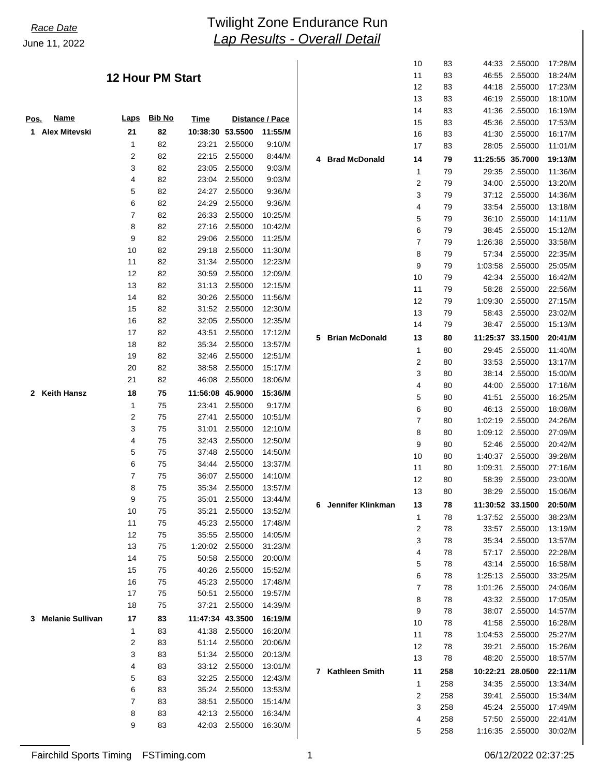# *Lap Results - Overall Detail* June 11, 2022 *Race Date* Twilight Zone Endurance Run

### **12 Hour PM Start**

| <b>Name</b><br><u>Pos.</u>   | Laps | <b>Bib No</b> | <b>Time</b> |         | Distance / Pace |   |
|------------------------------|------|---------------|-------------|---------|-----------------|---|
| <b>Alex Mitevski</b><br>1    | 21   | 82            | 10:38:30    | 53.5500 | 11:55/M         |   |
|                              | 1    | 82            | 23:21       | 2.55000 | 9:10/M          |   |
|                              | 2    | 82            | 22:15       | 2.55000 | 8:44/M          | 4 |
|                              | 3    | 82            | 23:05       | 2.55000 | 9:03/M          |   |
|                              | 4    | 82            | 23:04       | 2.55000 | 9:03/M          |   |
|                              | 5    | 82            | 24:27       | 2.55000 | 9:36/M          |   |
|                              | 6    | 82            | 24:29       | 2.55000 | 9:36/M          |   |
|                              | 7    | 82            | 26:33       | 2.55000 | 10:25/M         |   |
|                              | 8    | 82            | 27:16       | 2.55000 | 10:42/M         |   |
|                              | 9    | 82            | 29:06       | 2.55000 | 11:25/M         |   |
|                              | 10   | 82            | 29:18       | 2.55000 | 11:30/M         |   |
|                              | 11   | 82            | 31:34       | 2.55000 | 12:23/M         |   |
|                              | 12   | 82            | 30:59       | 2.55000 | 12:09/M         |   |
|                              | 13   | 82            | 31:13       | 2.55000 | 12:15/M         |   |
|                              | 14   | 82            | 30:26       | 2.55000 | 11:56/M         |   |
|                              | 15   | 82            | 31:52       | 2.55000 | 12:30/M         |   |
|                              | 16   | 82            | 32:05       | 2.55000 | 12:35/M         |   |
|                              | 17   | 82            | 43:51       | 2.55000 | 17:12/M         |   |
|                              | 18   | 82            | 35:34       | 2.55000 | 13:57/M         | 5 |
|                              | 19   | 82            | 32:46       | 2.55000 | 12:51/M         |   |
|                              | 20   | 82            | 38:58       | 2.55000 | 15:17/M         |   |
|                              | 21   | 82            | 46:08       | 2.55000 | 18:06/M         |   |
| <b>Keith Hansz</b><br>2      | 18   | 75            | 11:56:08    | 45.9000 | 15:36/M         |   |
|                              | 1    | 75            | 23:41       | 2.55000 | 9:17/M          |   |
|                              | 2    | 75            | 27:41       | 2.55000 | 10:51/M         |   |
|                              | 3    | 75            | 31:01       | 2.55000 | 12:10/M         |   |
|                              | 4    | 75            | 32:43       | 2.55000 | 12:50/M         |   |
|                              | 5    | 75            | 37:48       | 2.55000 | 14:50/M         |   |
|                              | 6    | 75            | 34:44       | 2.55000 | 13:37/M         |   |
|                              | 7    | 75            | 36:07       | 2.55000 | 14:10/M         |   |
|                              | 8    | 75            | 35:34       | 2.55000 | 13:57/M         |   |
|                              | 9    | 75            | 35:01       | 2.55000 | 13:44/M         |   |
|                              | 10   | 75            | 35:21       | 2.55000 | 13:52/M         | 6 |
|                              | 11   | 75            | 45:23       | 2.55000 | 17:48/M         |   |
|                              | 12   | 75            | 35:55       | 2.55000 | 14:05/M         |   |
|                              | 13   | 75            | 1:20:02     | 2.55000 | 31:23/M         |   |
|                              | 14   | 75            | 50:58       | 2.55000 | 20:00/M         |   |
|                              | 15   | 75            | 40:26       | 2.55000 | 15:52/M         |   |
|                              | 16   | 75            | 45:23       | 2.55000 | 17:48/M         |   |
|                              | 17   | 75            | 50:51       | 2.55000 | 19:57/M         |   |
|                              | 18   | 75            | 37:21       | 2.55000 | 14:39/M         |   |
| <b>Melanie Sullivan</b><br>3 | 17   | 83            | 11:47:34    | 43.3500 | 16:19/M         |   |
|                              | 1    | 83            | 41:38       | 2.55000 | 16:20/M         |   |
|                              | 2    | 83            | 51:14       | 2.55000 | 20:06/M         |   |
|                              | 3    | 83            | 51:34       | 2.55000 | 20:13/M         |   |
|                              | 4    | 83            | 33:12       | 2.55000 | 13:01/M         |   |
|                              | 5    | 83            | 32:25       | 2.55000 | 12:43/M         | 7 |
|                              | 6    | 83            | 35:24       | 2.55000 | 13:53/M         |   |
|                              | 7    | 83            | 38:51       | 2.55000 | 15:14/M         |   |
|                              | 8    | 83            | 42:13       | 2.55000 | 16:34/M         |   |
|                              | 9    | 83            | 42:03       | 2.55000 | 16:30/M         |   |
|                              |      |               |             |         |                 |   |

|   |                       | 10 | 83  | 44:33            | 2.55000 | 17:28/M |
|---|-----------------------|----|-----|------------------|---------|---------|
|   |                       | 11 | 83  | 46:55            | 2.55000 | 18:24/M |
|   |                       | 12 | 83  | 44:18            | 2.55000 | 17:23/M |
|   |                       | 13 | 83  | 46:19            | 2.55000 | 18:10/M |
|   |                       | 14 | 83  | 41:36            | 2.55000 | 16:19/M |
|   |                       | 15 | 83  | 45:36            | 2.55000 | 17:53/M |
|   |                       |    |     |                  |         |         |
|   |                       | 16 | 83  | 41:30            | 2.55000 | 16:17/M |
|   |                       | 17 | 83  | 28:05            | 2.55000 | 11:01/M |
| 4 | <b>Brad McDonald</b>  | 14 | 79  | 11:25:55         | 35.7000 | 19:13/M |
|   |                       | 1  | 79  | 29:35            | 2.55000 | 11:36/M |
|   |                       | 2  | 79  | 34:00            | 2.55000 | 13:20/M |
|   |                       | 3  | 79  | 37:12            | 2.55000 | 14:36/M |
|   |                       | 4  | 79  | 33:54            | 2.55000 | 13:18/M |
|   |                       | 5  | 79  | 36:10            | 2.55000 | 14:11/M |
|   |                       | 6  | 79  | 38:45            | 2.55000 | 15:12/M |
|   |                       | 7  | 79  | 1:26:38          | 2.55000 | 33:58/M |
|   |                       | 8  | 79  | 57:34            | 2.55000 | 22:35/M |
|   |                       | 9  | 79  | 1:03:58          | 2.55000 | 25:05/M |
|   |                       | 10 | 79  | 42:34            | 2.55000 | 16:42/M |
|   |                       | 11 | 79  | 58:28            | 2.55000 | 22:56/M |
|   |                       | 12 | 79  | 1:09:30          | 2.55000 | 27:15/M |
|   |                       | 13 | 79  | 58:43            | 2.55000 | 23:02/M |
|   |                       | 14 | 79  | 38:47            | 2.55000 | 15:13/M |
| 5 | <b>Brian McDonald</b> | 13 | 80  | 11:25:37         | 33.1500 | 20:41/M |
|   |                       | 1  | 80  | 29:45            | 2.55000 | 11:40/M |
|   |                       | 2  | 80  | 33:53            | 2.55000 | 13:17/M |
|   |                       | 3  | 80  | 38:14            | 2.55000 | 15:00/M |
|   |                       | 4  | 80  | 44:00            | 2.55000 | 17:16/M |
|   |                       | 5  | 80  | 41:51            | 2.55000 | 16:25/M |
|   |                       | 6  | 80  | 46:13            | 2.55000 | 18:08/M |
|   |                       | 7  | 80  | 1:02:19          | 2.55000 | 24:26/M |
|   |                       | 8  | 80  | 1:09:12          | 2.55000 | 27:09/M |
|   |                       | 9  | 80  | 52:46            | 2.55000 | 20:42/M |
|   |                       | 10 | 80  | 1:40:37          | 2.55000 | 39:28/M |
|   |                       | 11 | 80  | 1:09:31          | 2.55000 | 27:16/M |
|   |                       | 12 | 80  | 58:39            | 2.55000 | 23:00/M |
|   |                       | 13 | 80  | 38:29            | 2.55000 | 15:06/M |
|   |                       |    |     |                  |         |         |
| 6 | Jennifer Klinkman     | 13 | 78  | 11:30:52 33.1500 |         | 20:50/M |
|   |                       | 1  | 78  | 1:37:52          | 2.55000 | 38:23/M |
|   |                       | 2  | 78  | 33:57            | 2.55000 | 13:19/M |
|   |                       | 3  | 78  | 35:34            | 2.55000 | 13:57/M |
|   |                       | 4  | 78  | 57:17            | 2.55000 | 22:28/M |
|   |                       | 5  | 78  | 43:14            | 2.55000 | 16:58/M |
|   |                       | 6  | 78  | 1:25:13          | 2.55000 | 33:25/M |
|   |                       | 7  | 78  | 1:01:26          | 2.55000 | 24:06/M |
|   |                       | 8  | 78  | 43:32            | 2.55000 | 17:05/M |
|   |                       | 9  | 78  | 38:07            | 2.55000 | 14:57/M |
|   |                       | 10 | 78  | 41.58            | 2.55000 | 16:28/M |
|   |                       | 11 | 78  | 1:04:53          | 2.55000 | 25:27/M |
|   |                       | 12 | 78  | 39:21            | 2.55000 | 15:26/M |
|   |                       | 13 | 78  | 48.20            | 2.55000 | 18:57/M |
| 7 | Kathleen Smith        | 11 | 258 | 10:22:21         | 28.0500 | 22:11/M |
|   |                       | 1  | 258 | 34:35            | 2.55000 | 13:34/M |
|   |                       | 2  | 258 | 39:41            | 2.55000 | 15:34/M |
|   |                       | 3  | 258 | 45:24            | 2.55000 | 17:49/M |
|   |                       | 4  | 258 | 57:50            | 2.55000 | 22:41/M |
|   |                       | 5  | 258 | 1:16:35          | 2.55000 | 30:02/M |